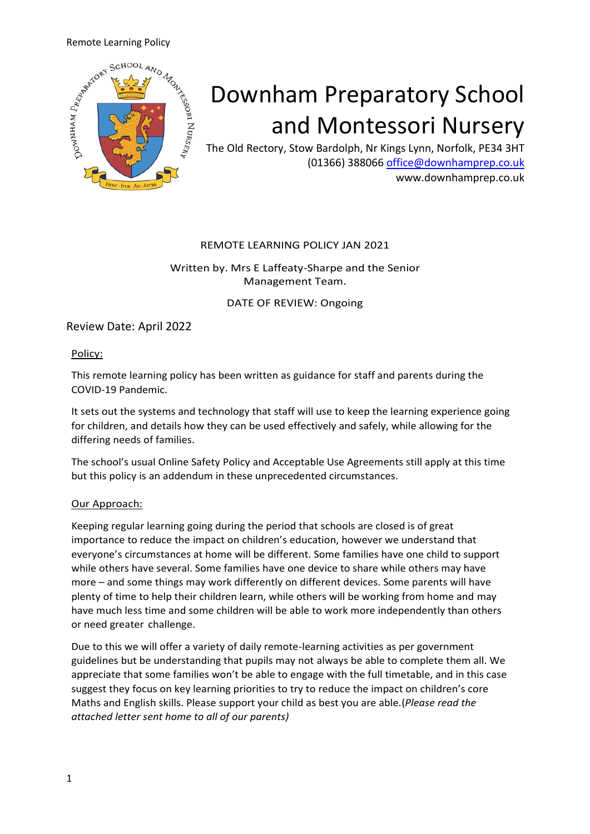

# Downham Preparatory School and Montessori Nursery

The Old Rectory, Stow Bardolph, Nr Kings Lynn, Norfolk, PE34 3HT (01366) 388066 [office@downhamprep.co.uk](mailto:office@downhamprep.co.uk) www.downhamprep.co.uk

#### REMOTE LEARNING POLICY JAN 2021

#### Written by. Mrs E Laffeaty-Sharpe and the Senior Management Team.

DATE OF REVIEW: Ongoing

Review Date: April 2022

Policy:

This remote learning policy has been written as guidance for staff and parents during the COVID-19 Pandemic.

It sets out the systems and technology that staff will use to keep the learning experience going for children, and details how they can be used effectively and safely, while allowing for the differing needs of families.

The school's usual Online Safety Policy and Acceptable Use Agreements still apply at this time but this policy is an addendum in these unprecedented circumstances.

#### Our Approach:

Keeping regular learning going during the period that schools are closed is of great importance to reduce the impact on children's education, however we understand that everyone's circumstances at home will be different. Some families have one child to support while others have several. Some families have one device to share while others may have more – and some things may work differently on different devices. Some parents will have plenty of time to help their children learn, while others will be working from home and may have much less time and some children will be able to work more independently than others or need greater challenge.

Due to this we will offer a variety of daily remote-learning activities as per government guidelines but be understanding that pupils may not always be able to complete them all. We appreciate that some families won't be able to engage with the full timetable, and in this case suggest they focus on key learning priorities to try to reduce the impact on children's core Maths and English skills. Please support your child as best you are able.(*Please read the attached letter sent home to all of our parents)*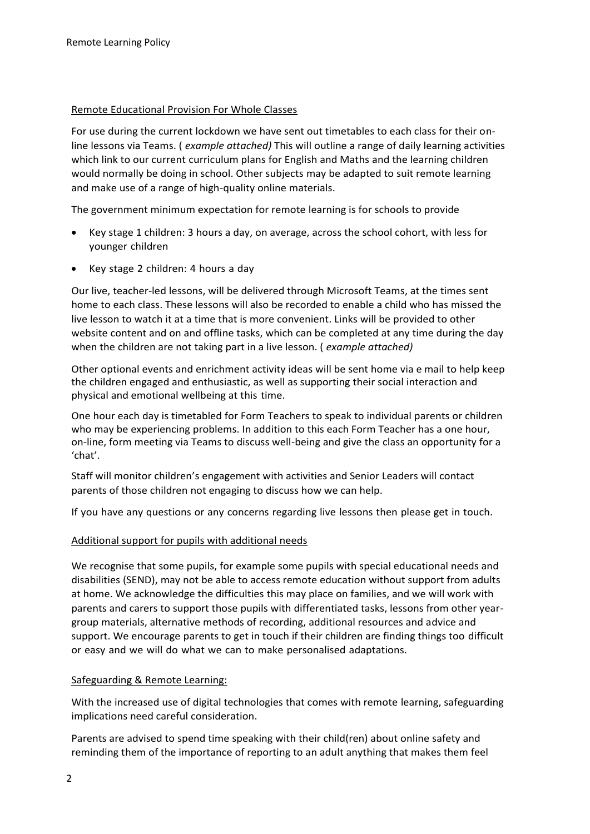#### Remote Educational Provision For Whole Classes

For use during the current lockdown we have sent out timetables to each class for their online lessons via Teams. ( *example attached)* This will outline a range of daily learning activities which link to our current curriculum plans for English and Maths and the learning children would normally be doing in school. Other subjects may be adapted to suit remote learning and make use of a range of high-quality online materials.

The government minimum expectation for remote learning is for schools to provide

- Key stage 1 children: 3 hours a day, on average, across the school cohort, with less for younger children
- Key stage 2 children: 4 hours a day

Our live, teacher-led lessons, will be delivered through Microsoft Teams, at the times sent home to each class. These lessons will also be recorded to enable a child who has missed the live lesson to watch it at a time that is more convenient. Links will be provided to other website content and on and offline tasks, which can be completed at any time during the day when the children are not taking part in a live lesson. ( *example attached)*

Other optional events and enrichment activity ideas will be sent home via e mail to help keep the children engaged and enthusiastic, as well as supporting their social interaction and physical and emotional wellbeing at this time.

One hour each day is timetabled for Form Teachers to speak to individual parents or children who may be experiencing problems. In addition to this each Form Teacher has a one hour, on-line, form meeting via Teams to discuss well-being and give the class an opportunity for a 'chat'.

Staff will monitor children's engagement with activities and Senior Leaders will contact parents of those children not engaging to discuss how we can help.

If you have any questions or any concerns regarding live lessons then please get in touch.

#### Additional support for pupils with additional needs

We recognise that some pupils, for example some pupils with special educational needs and disabilities (SEND), may not be able to access remote education without support from adults at home. We acknowledge the difficulties this may place on families, and we will work with parents and carers to support those pupils with differentiated tasks, lessons from other yeargroup materials, alternative methods of recording, additional resources and advice and support. We encourage parents to get in touch if their children are finding things too difficult or easy and we will do what we can to make personalised adaptations.

#### Safeguarding & Remote Learning:

With the increased use of digital technologies that comes with remote learning, safeguarding implications need careful consideration.

Parents are advised to spend time speaking with their child(ren) about online safety and reminding them of the importance of reporting to an adult anything that makes them feel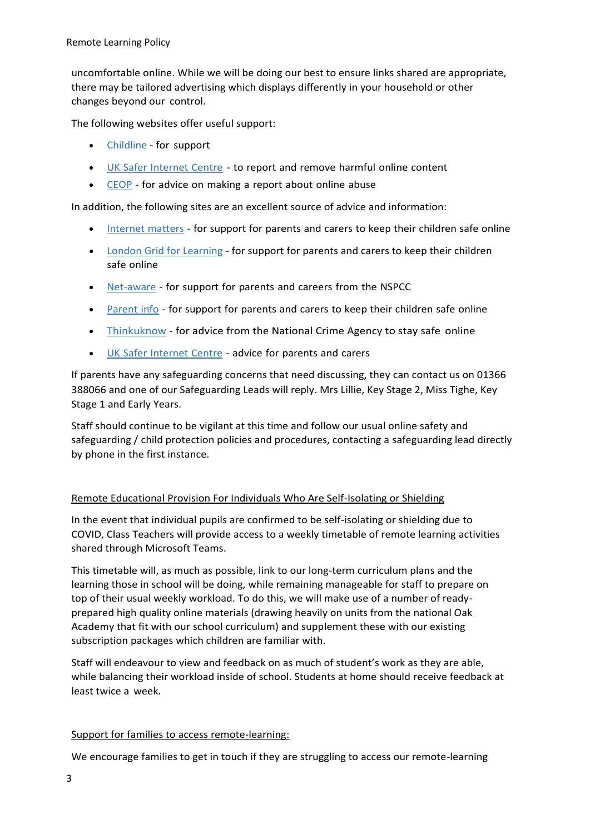uncomfortable online. While we will be doing our best to ensure links shared are appropriate, there may be tailored advertising which displays differently in your household or other changes beyond our control.

The following websites offer useful support:

- [Childline -](https://www.childline.org.uk/?utm_source=google&utm_medium=cpc&utm_campaign=UK_GO_S_B_BND_Grant_Childline_Information&utm_term=role_of_childline&gclsrc=aw.ds&&gclid=EAIaIQobChMIlfLRh-ez6AIVRrDtCh1N9QR2EAAYASAAEgLc-vD_BwE&gclsrc=aw.ds) for support
- UK Safer [Internet](https://reportharmfulcontent.com/) Centre to report and remove harmful online content
- [CEOP](https://www.ceop.police.uk/safety-centre/) for advice on making a report about online abuse

In addition, the following sites are an excellent source of advice and information:

- [Internet](https://www.internetmatters.org/?gclid=EAIaIQobChMIktuA5LWK2wIVRYXVCh2afg2aEAAYASAAEgIJ5vD_BwE) matters for support for parents and carers to keep their children safe online
- [London Grid for Learning](http://www.lgfl.net/online-safety/) for support for parents and carers to keep their children safe online
- [Net-aware](https://www.net-aware.org.uk/) for support for parents and careers from the NSPCC
- [Parent](https://parentinfo.org/) info for support for parents and carers to keep their children safe online
- [Thinkuknow](http://www.thinkuknow.co.uk/) for advice from the National Crime Agency to stay safe online
- UK Safer [Internet](https://www.saferinternet.org.uk/advice-centre/parents-and-carers) Centre advice for parents and carers

If parents have any safeguarding concerns that need discussing, they can contact us on 01366 388066 and one of our Safeguarding Leads will reply. Mrs Lillie, Key Stage 2, Miss Tighe, Key Stage 1 and Early Years.

Staff should continue to be vigilant at this time and follow our usual online safety and safeguarding / child protection policies and procedures, contacting a safeguarding lead directly by phone in the first instance.

#### Remote Educational Provision For Individuals Who Are Self-Isolating or Shielding

In the event that individual pupils are confirmed to be self-isolating or shielding due to COVID, Class Teachers will provide access to a weekly timetable of remote learning activities shared through Microsoft Teams.

This timetable will, as much as possible, link to our long-term curriculum plans and the learning those in school will be doing, while remaining manageable for staff to prepare on top of their usual weekly workload. To do this, we will make use of a number of readyprepared high quality online materials (drawing heavily on units from the national Oak Academy that fit with our school curriculum) and supplement these with our existing subscription packages which children are familiar with.

Staff will endeavour to view and feedback on as much of student's work as they are able, while balancing their workload inside of school. Students at home should receive feedback at least twice a week.

#### Support for families to access remote-learning:

We encourage families to get in touch if they are struggling to access our remote-learning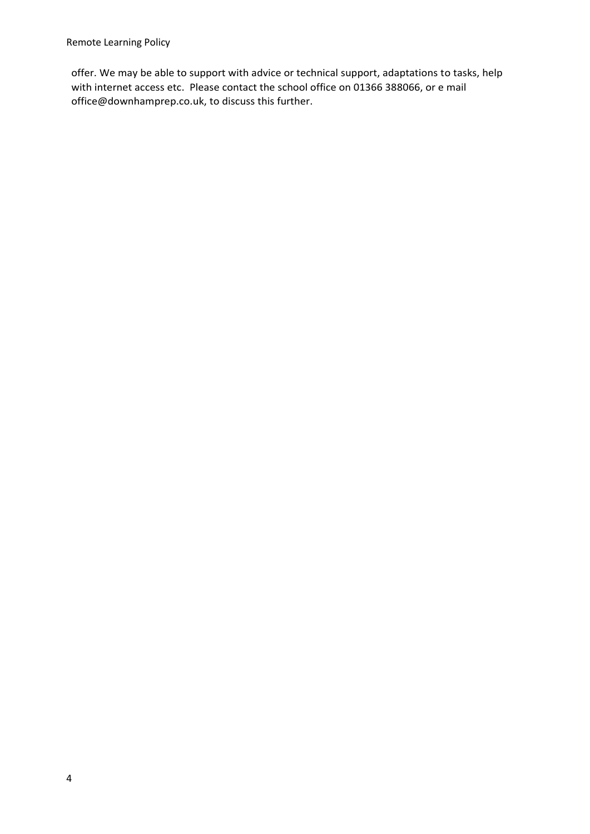offer. We may be able to support with advice or technical support, adaptations to tasks, help with internet access etc. Please contact the school office on 01366 388066, or e mail office@downhamprep.co.uk, to discuss this further.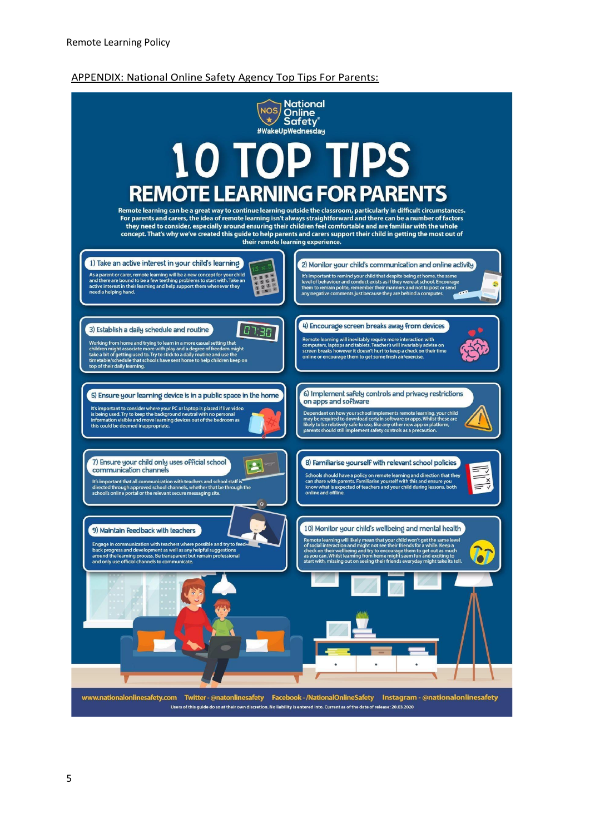#### APPENDIX: National Online Safety Agency Top Tips For Parents:

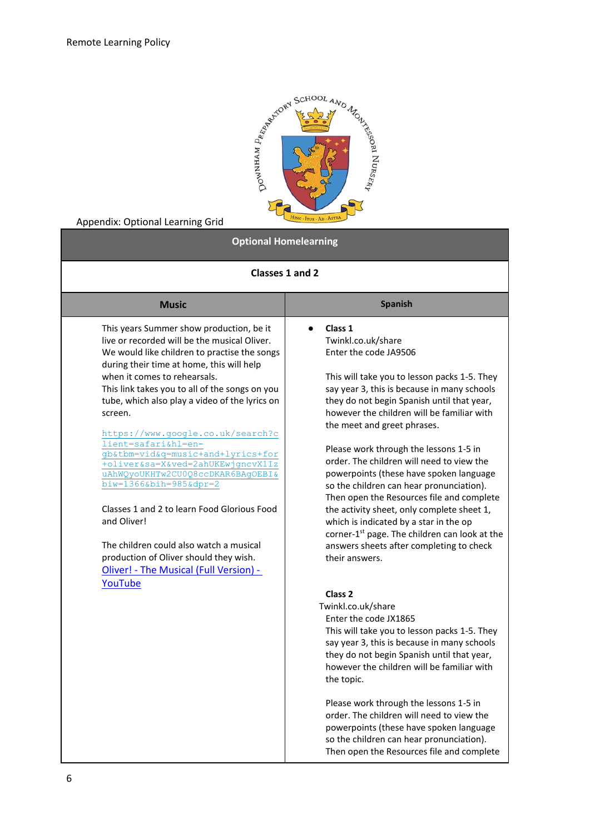

### Appendix: Optional Learning Grid

## **Optional Homelearning**

| Classes 1 and 2                                                                                                                                                                                                                                                                                                                                                                                                                                                                                                                                                                                                                                                                                                                          |                                                                                                                                                                                                                                                                                                                                                                                                                                                                                                                                                                                                                                                                                                                                             |  |  |  |  |  |  |
|------------------------------------------------------------------------------------------------------------------------------------------------------------------------------------------------------------------------------------------------------------------------------------------------------------------------------------------------------------------------------------------------------------------------------------------------------------------------------------------------------------------------------------------------------------------------------------------------------------------------------------------------------------------------------------------------------------------------------------------|---------------------------------------------------------------------------------------------------------------------------------------------------------------------------------------------------------------------------------------------------------------------------------------------------------------------------------------------------------------------------------------------------------------------------------------------------------------------------------------------------------------------------------------------------------------------------------------------------------------------------------------------------------------------------------------------------------------------------------------------|--|--|--|--|--|--|
| <b>Music</b>                                                                                                                                                                                                                                                                                                                                                                                                                                                                                                                                                                                                                                                                                                                             | <b>Spanish</b>                                                                                                                                                                                                                                                                                                                                                                                                                                                                                                                                                                                                                                                                                                                              |  |  |  |  |  |  |
| This years Summer show production, be it<br>live or recorded will be the musical Oliver.<br>We would like children to practise the songs<br>during their time at home, this will help<br>when it comes to rehearsals.<br>This link takes you to all of the songs on you<br>tube, which also play a video of the lyrics on<br>screen.<br>https://www.google.co.uk/search?c<br>lient=safari&hl=en-<br>gb&tbm=vid&q=music+and+lyrics+for<br>+oliver&sa=X&ved=2ahUKEwjgncvX1Iz<br>uAhWQyoUKHTw2CU0Q8ccDKAR6BAgOEBI&<br>$biw=1366@bih=985@dpr=2$<br>Classes 1 and 2 to learn Food Glorious Food<br>and Oliver!<br>The children could also watch a musical<br>production of Oliver should they wish.<br>Oliver! - The Musical (Full Version) - | Class 1<br>$\bullet$<br>Twinkl.co.uk/share<br>Enter the code JA9506<br>This will take you to lesson packs 1-5. They<br>say year 3, this is because in many schools<br>they do not begin Spanish until that year,<br>however the children will be familiar with<br>the meet and greet phrases.<br>Please work through the lessons 1-5 in<br>order. The children will need to view the<br>powerpoints (these have spoken language<br>so the children can hear pronunciation).<br>Then open the Resources file and complete<br>the activity sheet, only complete sheet 1,<br>which is indicated by a star in the op<br>corner-1 <sup>st</sup> page. The children can look at the<br>answers sheets after completing to check<br>their answers. |  |  |  |  |  |  |
| YouTube                                                                                                                                                                                                                                                                                                                                                                                                                                                                                                                                                                                                                                                                                                                                  | Class <sub>2</sub><br>Twinkl.co.uk/share<br>Enter the code JX1865<br>This will take you to lesson packs 1-5. They<br>say year 3, this is because in many schools<br>they do not begin Spanish until that year,<br>however the children will be familiar with<br>the topic.<br>Please work through the lessons 1-5 in<br>order. The children will need to view the<br>powerpoints (these have spoken language<br>so the children can hear pronunciation).<br>Then open the Resources file and complete                                                                                                                                                                                                                                       |  |  |  |  |  |  |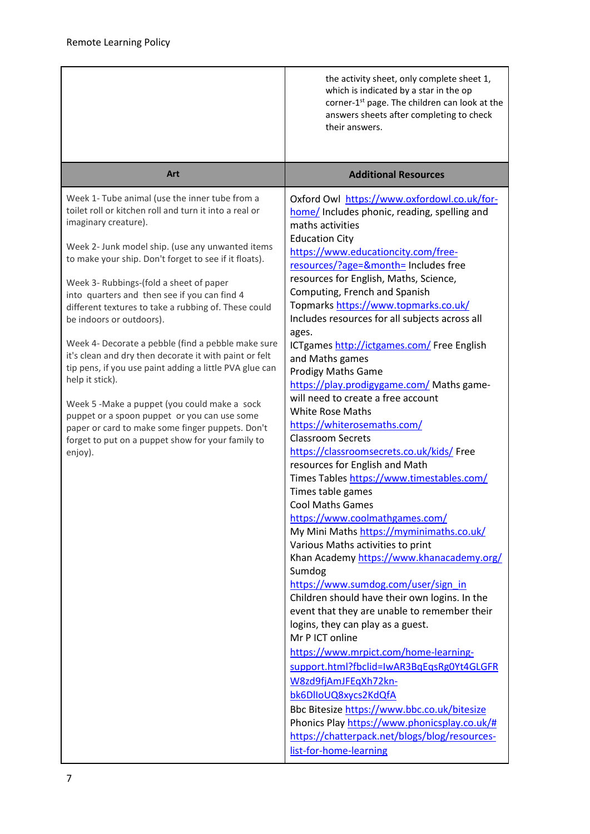|                                                                                                                                                                                                                                                                                                                                                                                                                                                                                                                                                                                                                                                                                                                                                                                                                                                | the activity sheet, only complete sheet 1,<br>which is indicated by a star in the op<br>corner-1 <sup>st</sup> page. The children can look at the<br>answers sheets after completing to check<br>their answers.                                                                                                                                                                                                                                                                                                                                                                                                                                                                                                                                                                                                                                                                                                                                                                                                                                                                                                                                                                                                                                                                                                                                                                                                                                                                                                                                    |  |  |  |
|------------------------------------------------------------------------------------------------------------------------------------------------------------------------------------------------------------------------------------------------------------------------------------------------------------------------------------------------------------------------------------------------------------------------------------------------------------------------------------------------------------------------------------------------------------------------------------------------------------------------------------------------------------------------------------------------------------------------------------------------------------------------------------------------------------------------------------------------|----------------------------------------------------------------------------------------------------------------------------------------------------------------------------------------------------------------------------------------------------------------------------------------------------------------------------------------------------------------------------------------------------------------------------------------------------------------------------------------------------------------------------------------------------------------------------------------------------------------------------------------------------------------------------------------------------------------------------------------------------------------------------------------------------------------------------------------------------------------------------------------------------------------------------------------------------------------------------------------------------------------------------------------------------------------------------------------------------------------------------------------------------------------------------------------------------------------------------------------------------------------------------------------------------------------------------------------------------------------------------------------------------------------------------------------------------------------------------------------------------------------------------------------------------|--|--|--|
| Art                                                                                                                                                                                                                                                                                                                                                                                                                                                                                                                                                                                                                                                                                                                                                                                                                                            | <b>Additional Resources</b>                                                                                                                                                                                                                                                                                                                                                                                                                                                                                                                                                                                                                                                                                                                                                                                                                                                                                                                                                                                                                                                                                                                                                                                                                                                                                                                                                                                                                                                                                                                        |  |  |  |
| Week 1- Tube animal (use the inner tube from a<br>toilet roll or kitchen roll and turn it into a real or<br>imaginary creature).<br>Week 2- Junk model ship. (use any unwanted items<br>to make your ship. Don't forget to see if it floats).<br>Week 3- Rubbings-(fold a sheet of paper<br>into quarters and then see if you can find 4<br>different textures to take a rubbing of. These could<br>be indoors or outdoors).<br>Week 4- Decorate a pebble (find a pebble make sure<br>it's clean and dry then decorate it with paint or felt<br>tip pens, if you use paint adding a little PVA glue can<br>help it stick).<br>Week 5 -Make a puppet (you could make a sock<br>puppet or a spoon puppet or you can use some<br>paper or card to make some finger puppets. Don't<br>forget to put on a puppet show for your family to<br>enjoy). | Oxford Owl https://www.oxfordowl.co.uk/for-<br>home/ Includes phonic, reading, spelling and<br>maths activities<br><b>Education City</b><br>https://www.educationcity.com/free-<br>resources/?age=&month= Includes free<br>resources for English, Maths, Science,<br>Computing, French and Spanish<br>Topmarks https://www.topmarks.co.uk/<br>Includes resources for all subjects across all<br>ages.<br>ICTgames http://ictgames.com/ Free English<br>and Maths games<br><b>Prodigy Maths Game</b><br>https://play.prodigygame.com/ Maths game-<br>will need to create a free account<br><b>White Rose Maths</b><br>https://whiterosemaths.com/<br><b>Classroom Secrets</b><br>https://classroomsecrets.co.uk/kids/ Free<br>resources for English and Math<br>Times Tables https://www.timestables.com/<br>Times table games<br><b>Cool Maths Games</b><br>https://www.coolmathgames.com/<br>My Mini Maths https://myminimaths.co.uk/<br>Various Maths activities to print<br>Khan Academy https://www.khanacademy.org/<br>Sumdog<br>https://www.sumdog.com/user/sign_in<br>Children should have their own logins. In the<br>event that they are unable to remember their<br>logins, they can play as a guest.<br>Mr P ICT online<br>https://www.mrpict.com/home-learning-<br>support.html?fbclid=IwAR3BqEqsRg0Yt4GLGFR<br>W8zd9fjAmJFEqXh72kn-<br>bk6DlloUQ8xycs2KdQfA<br>Bbc Bitesize https://www.bbc.co.uk/bitesize<br>Phonics Play https://www.phonicsplay.co.uk/#<br>https://chatterpack.net/blogs/blog/resources-<br>list-for-home-learning |  |  |  |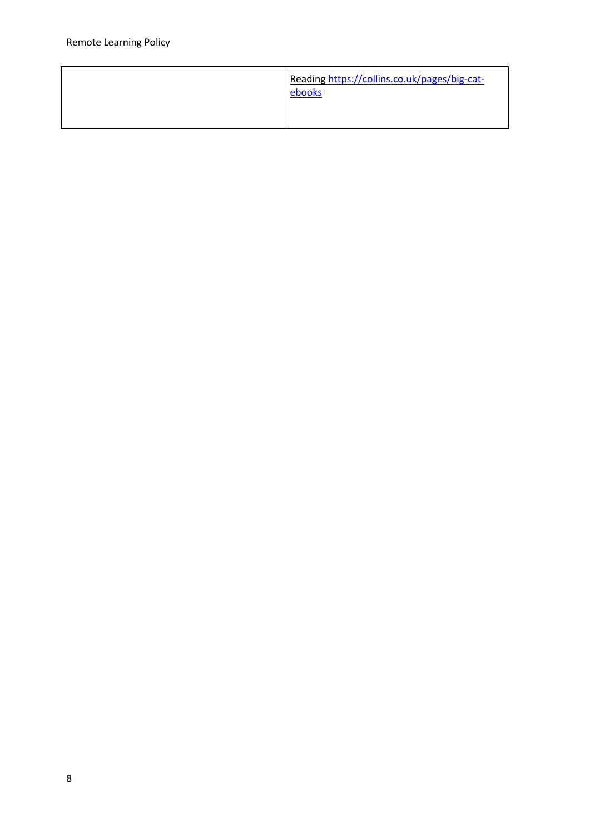| Reading https://collins.co.uk/pages/big-cat-<br>ebooks |
|--------------------------------------------------------|
|                                                        |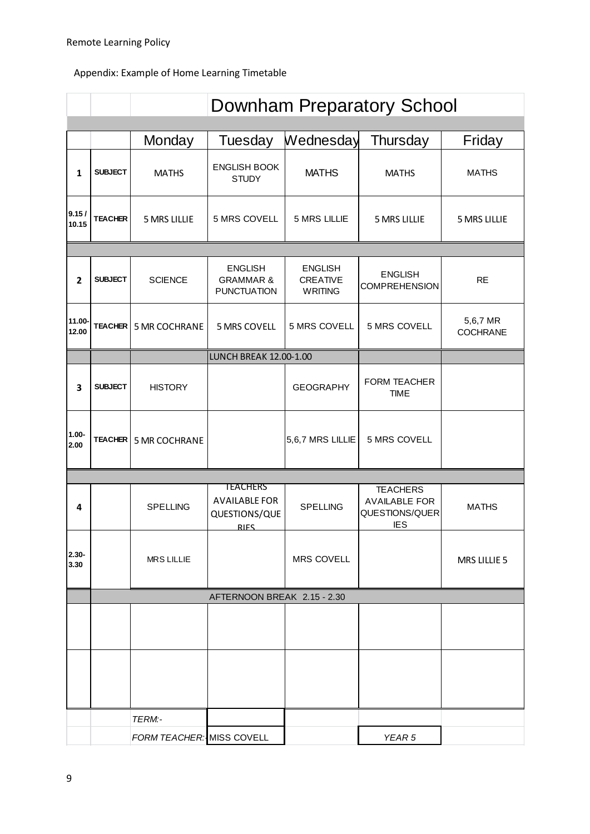# Appendix: Example of Home Learning Timetable

|                  |                             | <b>Downham Preparatory School</b> |                                                                         |                                              |                                                                         |                             |  |  |  |  |
|------------------|-----------------------------|-----------------------------------|-------------------------------------------------------------------------|----------------------------------------------|-------------------------------------------------------------------------|-----------------------------|--|--|--|--|
|                  |                             |                                   |                                                                         |                                              |                                                                         |                             |  |  |  |  |
|                  |                             | Monday                            | Tuesday                                                                 | Wednesday                                    | Thursday                                                                | Friday                      |  |  |  |  |
| 1                | <b>SUBJECT</b>              | <b>MATHS</b>                      | <b>ENGLISH BOOK</b><br><b>STUDY</b>                                     | <b>MATHS</b>                                 | <b>MATHS</b>                                                            | <b>MATHS</b>                |  |  |  |  |
| 9.15/<br>10.15   | <b>TEACHER</b>              | <b>5 MRS LILLIE</b>               | 5 MRS COVELL                                                            | 5 MRS LILLIE                                 | <b>5 MRS LILLIE</b>                                                     | 5 MRS LILLIE                |  |  |  |  |
|                  |                             |                                   |                                                                         |                                              |                                                                         |                             |  |  |  |  |
| $\overline{2}$   | <b>SUBJECT</b>              | <b>SCIENCE</b>                    | <b>ENGLISH</b><br><b>GRAMMAR &amp;</b><br><b>PUNCTUATION</b>            | <b>ENGLISH</b><br>CREATIVE<br><b>WRITING</b> | <b>ENGLISH</b><br><b>COMPREHENSION</b>                                  | <b>RE</b>                   |  |  |  |  |
| 11.00-<br>12.00  | <b>TEACHER</b>              | <b>5 MR COCHRANE</b>              | 5 MRS COVELL                                                            | 5 MRS COVELL                                 | 5 MRS COVELL                                                            | 5,6,7 MR<br><b>COCHRANE</b> |  |  |  |  |
|                  |                             |                                   | LUNCH BREAK 12.00-1.00                                                  |                                              |                                                                         |                             |  |  |  |  |
| 3                | <b>SUBJECT</b>              | <b>HISTORY</b>                    |                                                                         | <b>GEOGRAPHY</b>                             | FORM TEACHER<br><b>TIME</b>                                             |                             |  |  |  |  |
| $1.00 -$<br>2.00 | <b>TEACHER</b>              | 5 MR COCHRANE                     |                                                                         | 5,6,7 MRS LILLIE                             | 5 MRS COVELL                                                            |                             |  |  |  |  |
|                  |                             |                                   |                                                                         |                                              |                                                                         |                             |  |  |  |  |
| 4                |                             | <b>SPELLING</b>                   | <b>TEACHERS</b><br><b>AVAILABLE FOR</b><br>QUESTIONS/QUE<br><b>RIFS</b> | <b>SPELLING</b>                              | <b>TEACHERS</b><br><b>AVAILABLE FOR</b><br>QUESTIONS/QUER<br><b>IES</b> | <b>MATHS</b>                |  |  |  |  |
| $2.30 -$<br>3.30 |                             | <b>MRS LILLIE</b>                 |                                                                         | <b>MRS COVELL</b>                            |                                                                         | <b>MRS LILLIE 5</b>         |  |  |  |  |
|                  | AFTERNOON BREAK 2.15 - 2.30 |                                   |                                                                         |                                              |                                                                         |                             |  |  |  |  |
|                  |                             |                                   |                                                                         |                                              |                                                                         |                             |  |  |  |  |
|                  |                             |                                   |                                                                         |                                              |                                                                         |                             |  |  |  |  |
|                  |                             | TERM:-                            |                                                                         |                                              |                                                                         |                             |  |  |  |  |
|                  |                             | FORM TEACHER: MISS COVELL         |                                                                         |                                              | YEAR <sub>5</sub>                                                       |                             |  |  |  |  |